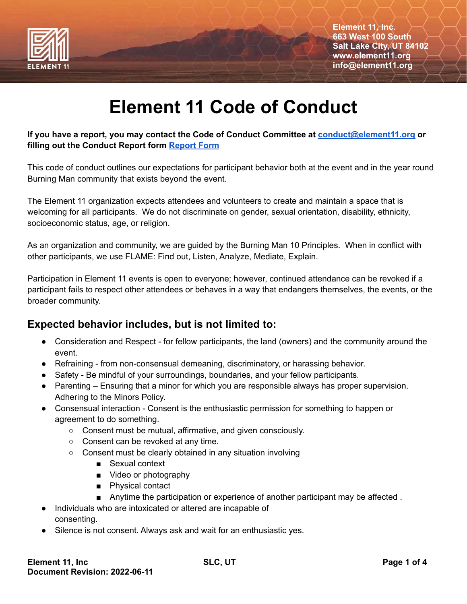

# **Element 11 Code of Conduct**

#### **If you have a report, you may contact the Code of Conduct Committee at [conduct@element11.org](mailto:conduct@element11.org) or filling out the Conduct Report form [Report](https://forms.gle/tbzgtYcjhy75cGG8A) Form**

This code of conduct outlines our expectations for participant behavior both at the event and in the year round Burning Man community that exists beyond the event.

The Element 11 organization expects attendees and volunteers to create and maintain a space that is welcoming for all participants. We do not discriminate on gender, sexual orientation, disability, ethnicity, socioeconomic status, age, or religion.

As an organization and community, we are guided by the Burning Man 10 Principles. When in conflict with other participants, we use FLAME: Find out, Listen, Analyze, Mediate, Explain.

Participation in Element 11 events is open to everyone; however, continued attendance can be revoked if a participant fails to respect other attendees or behaves in a way that endangers themselves, the events, or the broader community.

### **Expected behavior includes, but is not limited to:**

- Consideration and Respect for fellow participants, the land (owners) and the community around the event.
- Refraining from non-consensual demeaning, discriminatory, or harassing behavior.
- Safety Be mindful of your surroundings, boundaries, and your fellow participants.
- Parenting Ensuring that a minor for which you are responsible always has proper supervision. Adhering to the Minors Policy.
- Consensual interaction Consent is the enthusiastic permission for something to happen or agreement to do something.
	- Consent must be mutual, affirmative, and given consciously.
	- Consent can be revoked at any time.
	- Consent must be clearly obtained in any situation involving
		- Sexual context
		- Video or photography
		- Physical contact
		- Anytime the participation or experience of another participant may be affected.
- Individuals who are intoxicated or altered are incapable of consenting.
- Silence is not consent. Always ask and wait for an enthusiastic yes.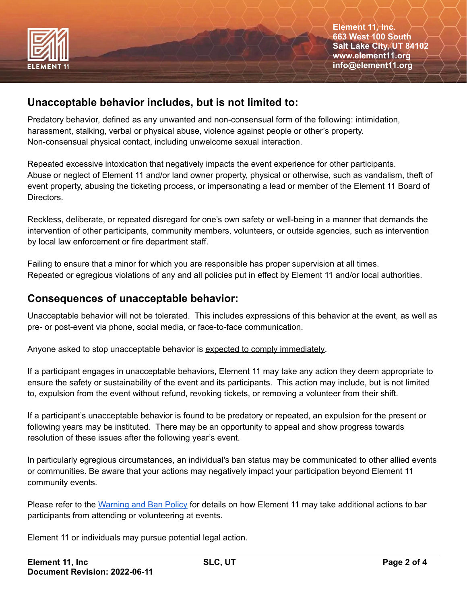

#### **Unacceptable behavior includes, but is not limited to:**

Predatory behavior, defined as any unwanted and non-consensual form of the following: intimidation, harassment, stalking, verbal or physical abuse, violence against people or other's property. Non-consensual physical contact, including unwelcome sexual interaction.

Repeated excessive intoxication that negatively impacts the event experience for other participants. Abuse or neglect of Element 11 and/or land owner property, physical or otherwise, such as vandalism, theft of event property, abusing the ticketing process, or impersonating a lead or member of the Element 11 Board of Directors.

Reckless, deliberate, or repeated disregard for one's own safety or well-being in a manner that demands the intervention of other participants, community members, volunteers, or outside agencies, such as intervention by local law enforcement or fire department staff.

Failing to ensure that a minor for which you are responsible has proper supervision at all times. Repeated or egregious violations of any and all policies put in effect by Element 11 and/or local authorities.

#### **Consequences of unacceptable behavior:**

Unacceptable behavior will not be tolerated. This includes expressions of this behavior at the event, as well as pre- or post-event via phone, social media, or face-to-face communication.

Anyone asked to stop unacceptable behavior is expected to comply immediately.

If a participant engages in unacceptable behaviors, Element 11 may take any action they deem appropriate to ensure the safety or sustainability of the event and its participants. This action may include, but is not limited to, expulsion from the event without refund, revoking tickets, or removing a volunteer from their shift.

If a participant's unacceptable behavior is found to be predatory or repeated, an expulsion for the present or following years may be instituted. There may be an opportunity to appeal and show progress towards resolution of these issues after the following year's event.

In particularly egregious circumstances, an individual's ban status may be communicated to other allied events or communities. Be aware that your actions may negatively impact your participation beyond Element 11 community events.

Please refer to the [Warning](https://www.element11.org/documents/Element_11_Warnings_and_Bans_Policy.pdf) and Ban Policy for details on how Element 11 may take additional actions to bar participants from attending or volunteering at events.

Element 11 or individuals may pursue potential legal action.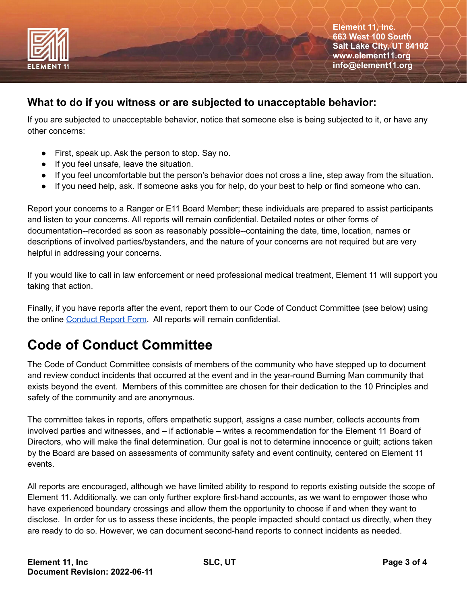

**Element 11, Inc. 663 West 100 South Salt Lake City, UT 84102 www.element11.org info@element11.org**

#### **What to do if you witness or are subjected to unacceptable behavior:**

If you are subjected to unacceptable behavior, notice that someone else is being subjected to it, or have any other concerns:

- First, speak up. Ask the person to stop. Say no.
- If you feel unsafe, leave the situation.
- If you feel uncomfortable but the person's behavior does not cross a line, step away from the situation.
- If you need help, ask. If someone asks you for help, do your best to help or find someone who can.

Report your concerns to a Ranger or E11 Board Member; these individuals are prepared to assist participants and listen to your concerns. All reports will remain confidential. Detailed notes or other forms of documentation--recorded as soon as reasonably possible--containing the date, time, location, names or descriptions of involved parties/bystanders, and the nature of your concerns are not required but are very helpful in addressing your concerns.

If you would like to call in law enforcement or need professional medical treatment, Element 11 will support you taking that action.

Finally, if you have reports after the event, report them to our Code of Conduct Committee (see below) using the online [Conduct](https://forms.gle/tbzgtYcjhy75cGG8A) Report Form. All reports will remain confidential.

## **Code of Conduct Committee**

The Code of Conduct Committee consists of members of the community who have stepped up to document and review conduct incidents that occurred at the event and in the year-round Burning Man community that exists beyond the event. Members of this committee are chosen for their dedication to the 10 Principles and safety of the community and are anonymous.

The committee takes in reports, offers empathetic support, assigns a case number, collects accounts from involved parties and witnesses, and – if actionable – writes a recommendation for the Element 11 Board of Directors, who will make the final determination. Our goal is not to determine innocence or guilt; actions taken by the Board are based on assessments of community safety and event continuity, centered on Element 11 events.

All reports are encouraged, although we have limited ability to respond to reports existing outside the scope of Element 11. Additionally, we can only further explore first-hand accounts, as we want to empower those who have experienced boundary crossings and allow them the opportunity to choose if and when they want to disclose. In order for us to assess these incidents, the people impacted should contact us directly, when they are ready to do so. However, we can document second-hand reports to connect incidents as needed.